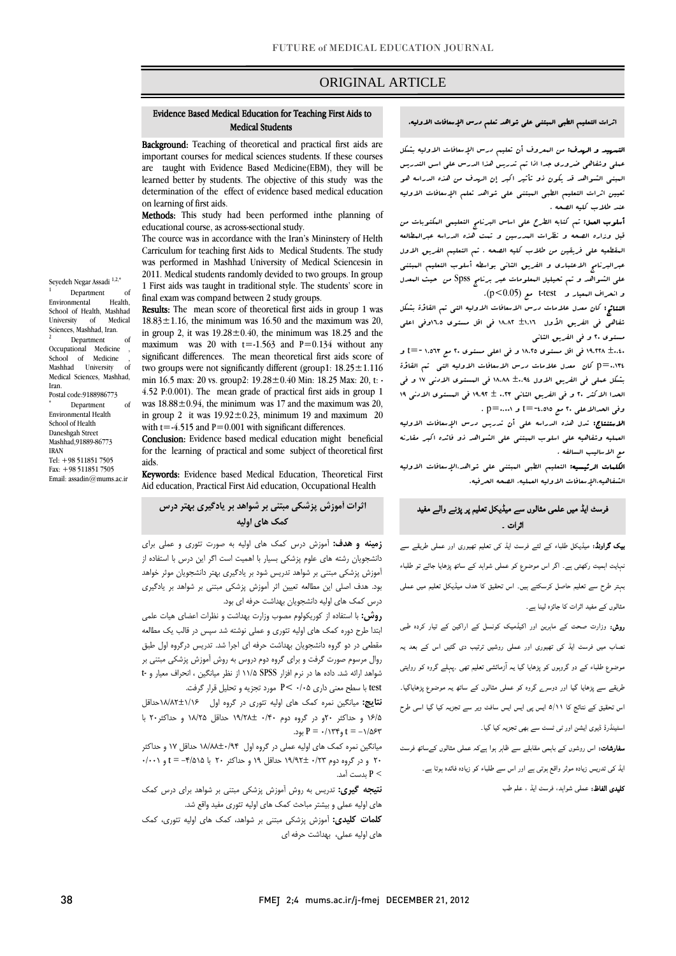### ORIGINAL ARTICLE

#### Evidence Based Medical Education for Teaching First Aids to Medical Students

Ī

Background: Teaching of theoretical and practical first aids are important courses for medical sciences students. If these courses are taught with Evidence Based Medicine(EBM), they will be determination of the effect of evidence based medical education learned better by students. The objective of this study was the on learning of first aids.

 Methods: This study had been performed inthe planning of educational course, as across-sectional study.

 The cource was in accordance with the Iran's Mininstery of Helth Carriculum for teaching first Aids to Medical Students. The study was performed in masiliant emversity of medical selectics in in<br>2011. Medical students randomly devided to two groups. In group 1 First aids was taught in traditional style. The students' score in final exam was compand between 2 study groups. was performed in Mashhad University of Medical Sciencesin in

18.83 $\pm$ 1.16, the minimum was 16.50 and the maximum was 20, in group 2, it was  $19.28 \pm 0.40$ , the minimum was 18.25 and the  $\frac{1}{2}$  in  $\frac{1}{2}$  was  $\frac{1}{20}$  with  $\frac{1}{20}$  and  $\frac{1}{20}$   $\frac{1}{20}$  without any significant differences. The mean theoretical first aids score of two groups were not significantly different (group1:  $18.25 \pm 1.116$  min 16.5 max: 20 vs. group2: 19.28±0.40 Min: 18.25 Max: 20, t: was  $18.88 \pm 0.94$ , the minimum was 17 and the maximum was 20, in group 2 it was  $19.92 \pm 0.23$ , minimum 19 and maximum 20 Results: The mean score of theoretical first aids in group 1 was maximum was 20 with  $t = -1.563$  and  $P = 0.134$  without any 4.52 P:0.001). The mean grade of practical first aids in group 1 with t=-4.515 and  $P=0.001$  with significant differences.

with  $1 - 4.919$  and  $1 - 0.001$  with significant differences.<br>**Conclusion:** Evidence based medical education might beneficial for the learning of practical and some subject of theoretical first aids.

aids.<br>**Keywords:** Evidence based Medical Education, Theoretical First Aid education, Practical First Aid education, Occupational Health

#### **اثرات آموزش پزشكي مبتني بر شواهد بر يادگيري بهتر درس كمك هاي اوليه**

 **زمينه و هدف:** آموزش درس كمك هاي اوليه به صورت تئوري و عملي براي دانشجويان رشته های علوم پزشكی بسيار با اهميت است اگر اين درس با استفاده از<br>. بیور.س پرستي بیسی بر سوسه مرين سومبر بيمبيری بهبر مستبقين بوتر موسه<br>بود. هدف اصلی این مطالعه تعیین اثر آموزش پزشكی مبتنی بر شواهد بر یادگیری درس كمك هاي اوليه دانشجويان بهداشت حرفه اي بود. آموزش پزشكي مبتني بر شواهد تدريس شود بر يادگيري بهتر دانشجويان موثر خواهد

 **روش:** با استفاده از كوريكولوم مصوب وزارت بهداشت و نظرات اعضاي هيات علمي ابتدا طرح دوره كمك هاي اوليه تئوري و عملي نوشته شد سپس در قالب يك مطالعه مقطعي در دو گروه دانشجويان بهداشت حرفه اي اجرا شد. تدريس درگروه اول طبق روال مرسوم صورت گرفت و براي گروه دوم دروس به روش آموزش پزشكي مبتني بر شواهد ارائه شد. داده ها در نرم افزار SPSS 11/5 از نظر ميانگين ، انحراف معيار و -t test با سطح معني داري 0/05 >P مورد تجزيه و تحليل قرار گرفت.

 **نتايج:** ميانگين نمره كمك هاي اوليه تئوري در گروه اول 18/82±1/16حداقل 16/5 و حداكثر 20و در گروه دوم 0/40 19/28± حداقل 18/25 و حداكثر20 با -<br>1/۵۶۳ = بود. P = ۰/۱۳۴ بود.

 ميانگين نمره كمك هاي اوليه عملي در گروه اول 18/88±0/94 حداقل 17 و حداكثر 20 و در گروه دوم 0/23 19/92± حداقل 19 و حداكثر 20 با -4/515 = t و 0/001 > P بدست آمد.

 **نتيجه گيري:** تدريس به روش آموزش پزشكي مبتني بر شواهد براي درس كمك هاي اوليه عملي و بيشتر مباحث كمك هاي اوليه تئوري مفيد واقع شد.

 **كلمات كليدي:** آموزش پزشكي مبتني بر شواهد، كمك هاي اوليه تئوري، كمك هاي اوليه عملي، بهداشت حرفه اي

#### اثرات التعليم الطبي المبتني علي شواهد تعلم درس الإسعافات الاوليه.

Ī

ا**لتسهيد و الردف:** من ال*معرو*ف أن تعليم درس الإسعافات الاوليه بشكل عملي وشفاهي ضروري جدا اذا تم تدريس هذا الدرس علي اسس التدريس تعيين اثرات التعليم الطبي المبتني علي شواهد تعلم الإسعافات الاوليه عند طلاب كليه الصحه . المبني الشواهد قد يكون ذو تأثير اكبر إن الهدف من هذه الدراسه هو

 أسلوب العمل: تم كتابه الطرح علي اساس البرنامج التعليمي المكتوبات من قبل وزاره الصحه و نظرات المدرسين و تمت هذه الدراسه عبرالمطالعه المقطعيه علي فريقين من طلاب كليه الصحه . تم التعليم الفريق الاول عبرالبرنامج الاعتباري و الفريق الثاني بواسطه أسلوب التعليم المبتني علي الشواهد و تم تحيليل المعلومات عبر برنامج Spss من حيث المعدل و انحراف البعيار و - t-test- مع (p<0.05).<br>المعاشر مع كان المعيار و - test

ے<br>شفاهی فی الفریق الأول ±1.11 1۸.۸۲ فی اقل مستوی ہ.11وفی اعلی مستوي 20 و في الفريق الثاني النتائج: كان معدل علامات درس الاسعافات الاوليه التي تم القاؤة بشكل

 ±0.40 19.228 في اقل مستوي 18.25 و في اعلي مستوي 20 مع 1.563 -=t و 0.134=p كان معدل علامات درس الاسعافات الاوليه التي تم القاؤة بشكل عملي في الفريق الاول ±0.94 18.88 في المستوي الادني 17 و في الحدا الاكثر 20 و في الفريق الثاني 0.23 ± 19.92 في المستوي الادني 19 وفي الحدالاعلى ٢٠ مع ١٤.٥١٥=t و p=….. p .<br>.

 العمليه وشفاهيه علي اسلوب المبتني علي الشواهد ذو فائده اكبر مقارنه مع الاساليب السالفه . الاستنتاج: تدل هذه الدراسه علي أن تدريس درس الإسعافات الاوليه

ا**لكلمات الرئيسيه:** التعليم الطبي الىبتنى على شواهد،الإسعافات الاوليه الشفاهيه،الإسعافات الاوليه العمليه، الصحه الحرفيه.

#### فرسٹ ایڈ میں علمی مثالوں سے میڈیکل تعلیم پر پڑنے والے مفید اثرات ۔

 بیک گراونڈ: میڈیکل طلباء کے لئے فرسٹ ایڈ کی تعلیم تھیوری اور عملی طریقے سے نہایت اہمیت رکھتی ہے۔ اگر اس موضوع کو عملی شواہد کے ساتھ پڑھایا جائے تو طلباء بہتر طرح سے تعلیم حاصل کرسکتے ہیں۔ اس تحقیق کا ھدف میڈیکل تعلیم میں عملی مثالوں کے مفید اثرات کا جائزہ لینا ہے۔

 روش: وزارت صحت کے ماہرین اور اکیڈمیک کونسل کے اراکین کے تیار کردہ طبی نصاب میں فرسٹ ایڈ کی تھیوری اور عملی روشیں ترتیب دی گئيں اس کے بعد یہ موضوع طلباء کے دو گروہوں کو پڑھایا گيا یہ آزمائشی تعلیم تھی ۔پہلے گروہ کو روایتی طریقے سے پڑھایا گيا اور دوسرے گروہ کو عملی مثالوں کے ساتھ یہ موضوع پڑھایاگيا۔ اس تحقیق کے نتائج کا ۵/۱۱ ایس پی ایس ایس سافٹ ویر سے تجزیہ کیا گيا اسی طرح اسٹینڈرڈ ڈیوی ایشن اور ٹی ٹسٹ سے بھی تجزیہ کیا گيا۔

 سفارشات: اس روشوں کے باہمی مقابلے سے ظاہر ہوا ہےکہ عملی مثالوں کےساتھ فرسٹ ایڈ کی تدریس زیادہ موثر واقع ہوتی ہے اور اس سے طلباء کو زیادہ فائدہ ہوتا ہے۔ **کلیدی الفاظ:** عملی شواہد، فرسٹ ایڈ ، علم طب<br>ا

Seyedeh Negar Assadi $^{1,2,\ast}$ Department of Environmental Health, School of Health, Mashhad University of Medical Sciences, Mashhad, Iran. 2 Department of Occupational Medicine School of Medicine Mashhad University of Medical Sciences, Mashhad,

Iran. Postal code:9188986773 \* Department of Environmental Health School of Health

Daneshgah Street Mashhad,91889-86773 IRAN Tel: +98 511851 7505 Fax: +98 511851 7505

Email: assadin@mums.ac.ir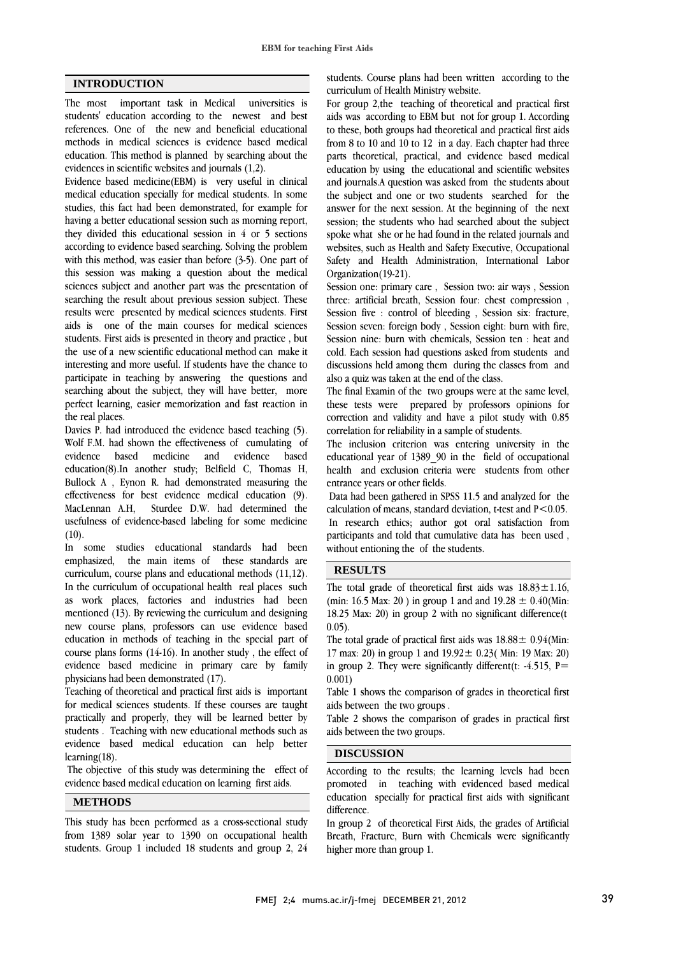### **INTRODUCTION**

The most important task in Medical universities is students' education according to the newest and best references. One of the new and beneficial educational methods in medical sciences is evidence based medical education. This method is planned by searching about the evidences in scientific websites and journals (1,2).

Evidence based medicine(EBM) is very useful in clinical medical education specially for medical students. In some studies, this fact had been demonstrated, for example for having a better educational session such as morning report, they divided this educational session in 4 or 5 sections according to evidence based searching. Solving the problem with this method, was easier than before (3-5). One part of this session was making a question about the medical sciences subject and another part was the presentation of searching the result about previous session subject. These results were presented by medical sciences students. First aids is one of the main courses for medical sciences students. First aids is presented in theory and practice , but the use of a new scientific educational method can make it interesting and more useful. If students have the chance to participate in teaching by answering the questions and searching about the subject, they will have better, more perfect learning, easier memorization and fast reaction in the real places.

Davies P. had introduced the evidence based teaching (5). Wolf F.M. had shown the effectiveness of cumulating of evidence based medicine and evidence based education(8).In another study; Belfield C, Thomas H, Bullock A , Eynon R. had demonstrated measuring the effectiveness for best evidence medical education (9). MacLennan A.H, Sturdee D.W. had determined the usefulness of evidence-based labeling for some medicine  $(10).$ 

In some studies educational standards had been emphasized, the main items of these standards are curriculum, course plans and educational methods (11,12). In the curriculum of occupational health real places such as work places, factories and industries had been mentioned (13). By reviewing the curriculum and designing new course plans, professors can use evidence based education in methods of teaching in the special part of course plans forms (14-16). In another study , the effect of evidence based medicine in primary care by family physicians had been demonstrated (17).

Teaching of theoretical and practical first aids is important for medical sciences students. If these courses are taught practically and properly, they will be learned better by students . Teaching with new educational methods such as evidence based medical education can help better learning(18).

 The objective of this study was determining the effect of evidence based medical education on learning first aids.

### **METHODS**

This study has been performed as a cross-sectional study from 1389 solar year to 1390 on occupational health students. Group 1 included 18 students and group 2, 24  students. Course plans had been written according to the curriculum of Health Ministry website.

 For group 2,the teaching of theoretical and practical first aids was according to EBM but not for group 1. According from 8 to 10 and 10 to 12 in a day. Each chapter had three parts theoretical, practical, and evidence based medical education by using the educational and scientific websites and journals.A question was asked from the students about answer for the next session. At the beginning of the next session; the students who had searched about the subject spoke what she or he had found in the related journals and websites, such as Health and Safety Executive, Occupational Organization(19-21). to these, both groups had theoretical and practical first aids the subject and one or two students searched for the Safety and Health Administration, International Labor

 Session one: primary care , Session two: air ways , Session three: artificial breath, Session four: chest compression , Session five : control of bleeding , Session six: fracture, Session nine: burn with chemicals, Session ten : heat and cold. Each session had questions asked from students and discussions held among them during the classes from and also a quiz was taken at the end of the class. Session seven: foreign body , Session eight: burn with fire,

 these tests were prepared by professors opinions for correction and validity and have a pilot study with 0.85 correlation for reliability in a sample of students. The final Examin of the two groups were at the same level,

 The inclusion criterion was entering university in the health and exclusion criteria were students from other entrance years or other fields. educational year of 1389\_90 in the field of occupational

 Data had been gathered in SPSS 11.5 and analyzed for the calculation of means, standard deviation, t-test and  $P < 0.05$ . participants and told that cumulative data has been used , without entioning the of the students. In research ethics; author got oral satisfaction from

# **RESULTS**

The total grade of theoretical first aids was  $18.83 \pm 1.16$ , (min: 16.5 Max: 20) in group 1 and and 19.28  $\pm$  0.40(Min: 18.25 Max: 20) in group 2 with no significant difference(t 0.05).

The total grade of practical first aids was  $18.88 \pm 0.94$  (Min: in group 2. They were significantly different(t: -4.515, P= 0.001) 17 max: 20) in group 1 and  $19.92 \pm 0.23$  (Min: 19 Max: 20)

 Table 1 shows the comparison of grades in theoretical first aids between the two groups .

aids between the two groups. Table 2 shows the comparison of grades in practical first

## **DISCUSSION**

.

According to the results; the learning levels had been education specially for practical first aids with significant difference. promoted in teaching with evidenced based medical

 In group 2 of theoretical First Aids, the grades of Artificial Breath, Fracture, Burn with Chemicals were significantly higher more than group 1.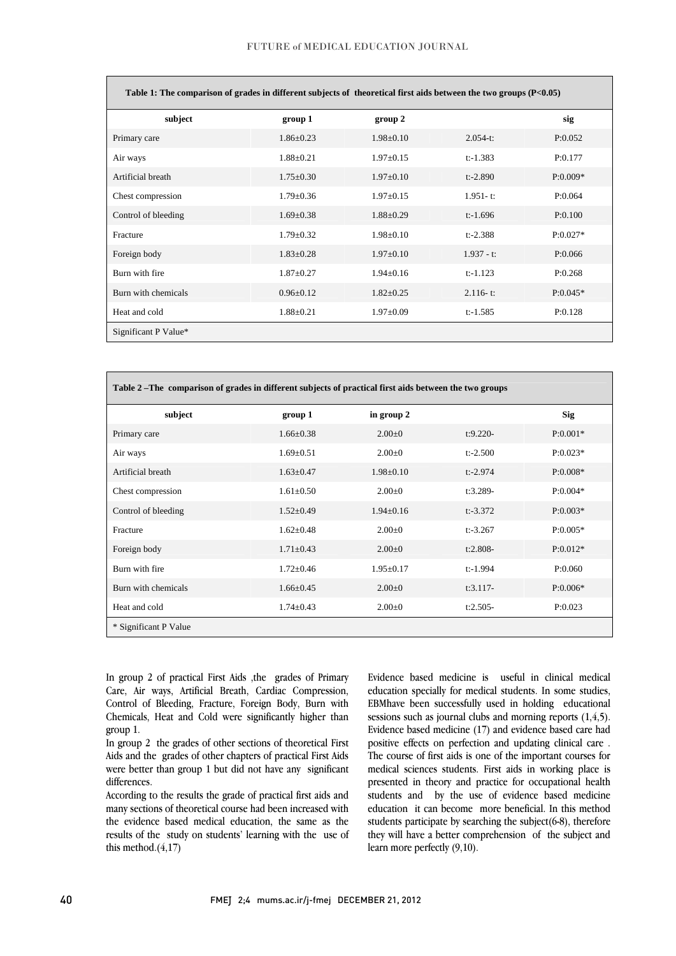$\overline{\phantom{0}}$ 

l

| Table 1: The comparison of grades in different subjects of theoretical first aids between the two groups $(P<0.05)$ |                 |                 |               |            |  |  |
|---------------------------------------------------------------------------------------------------------------------|-----------------|-----------------|---------------|------------|--|--|
| subject                                                                                                             | group 1         | group 2         |               | sig        |  |  |
| Primary care                                                                                                        | $1.86 \pm 0.23$ | $1.98 \pm 0.10$ | $2.054 - t$   | P:0.052    |  |  |
| Air ways                                                                                                            | $1.88 \pm 0.21$ | $1.97 \pm 0.15$ | $t$ :-1.383   | P:0.177    |  |  |
| Artificial breath                                                                                                   | $1.75 \pm 0.30$ | $1.97 \pm 0.10$ | $t$ :-2.890   | $P:0.009*$ |  |  |
| Chest compression                                                                                                   | $1.79 \pm 0.36$ | $1.97 \pm 0.15$ | $1.951 - t$ : | P:0.064    |  |  |
| Control of bleeding                                                                                                 | $1.69 \pm 0.38$ | $1.88 \pm 0.29$ | $t$ :-1.696   | P:0.100    |  |  |
| Fracture                                                                                                            | $1.79 \pm 0.32$ | $1.98 \pm 0.10$ | $t$ :-2.388   | $P:0.027*$ |  |  |
| Foreign body                                                                                                        | $1.83 \pm 0.28$ | $1.97 \pm 0.10$ | $1.937 - t$ : | P:0.066    |  |  |
| Burn with fire                                                                                                      | $1.87 \pm 0.27$ | $1.94 \pm 0.16$ | $t$ :-1.123   | P:0.268    |  |  |
| Burn with chemicals                                                                                                 | $0.96 \pm 0.12$ | $1.82 \pm 0.25$ | $2.116 - t$ : | $P:0.045*$ |  |  |
| Heat and cold                                                                                                       | $1.88 \pm 0.21$ | $1.97 \pm 0.09$ | $t$ :-1.585   | P:0.128    |  |  |
| Significant P Value*                                                                                                |                 |                 |               |            |  |  |

| Table 2 – The comparison of grades in different subjects of practical first aids between the two groups |                 |                 |             |            |  |  |
|---------------------------------------------------------------------------------------------------------|-----------------|-----------------|-------------|------------|--|--|
| subject                                                                                                 | group 1         | in group 2      |             | <b>Sig</b> |  |  |
| Primary care                                                                                            | $1.66 \pm 0.38$ | $2.00 \pm 0$    | $t:9.220-$  | $P:0.001*$ |  |  |
| Air ways                                                                                                | $1.69 \pm 0.51$ | $2.00 \pm 0$    | $t$ :-2.500 | $P:0.023*$ |  |  |
| Artificial breath                                                                                       | $1.63 \pm 0.47$ | $1.98 \pm 0.10$ | $t$ :-2.974 | $P:0.008*$ |  |  |
| Chest compression                                                                                       | $1.61 \pm 0.50$ | $2.00 \pm 0$    | $t:3.289-$  | $P:0.004*$ |  |  |
| Control of bleeding                                                                                     | $1.52 \pm 0.49$ | $1.94 \pm 0.16$ | $t$ :-3.372 | $P:0.003*$ |  |  |
| Fracture                                                                                                | $1.62 \pm 0.48$ | $2.00 \pm 0$    | $t$ :-3.267 | $P:0.005*$ |  |  |
| Foreign body                                                                                            | $1.71 \pm 0.43$ | $2.00 \pm 0$    | $t:2.808-$  | $P:0.012*$ |  |  |
| Burn with fire                                                                                          | $1.72 \pm 0.46$ | $1.95 \pm 0.17$ | $t$ :-1.994 | P:0.060    |  |  |
| Burn with chemicals                                                                                     | $1.66 \pm 0.45$ | $2.00 \pm 0$    | $t:3.117-$  | $P:0.006*$ |  |  |
| Heat and cold                                                                                           | $1.74 \pm 0.43$ | $2.00 \pm 0$    | $t:2.505-$  | P:0.023    |  |  |
| * Significant P Value                                                                                   |                 |                 |             |            |  |  |

 In group 2 of practical First Aids ,the grades of Primary Care, Air ways, Artificial Breath, Cardiac Compression, Chemicals, Heat and Cold were significantly higher than Control of Bleeding, Fracture, Foreign Body, Burn with group 1.

 In group 2 the grades of other sections of theoretical First Aids and the grades of other chapters of practical First Aids were better than group 1 but did not have any significant differences.

 According to the results the grade of practical first aids and many sections of theoretical course had been increased with the evidence based medical education, the same as the results of the study on students' learning with the use of<br>this mathed  $(4.17)$ this method.(4,17)

 Evidence based medicine is useful in clinical medical education specially for medical students. In some studies, sessions such as journal clubs and morning reports (1,4,5). Evidence based medicine (17) and evidence based care had positive effects on perfection and updating clinical care . The course of first aids is one of the important courses for presented in theory and practice for occupational health students and by the use of evidence based medicine education it can become more beneficial. In this method students participate by searching the subject(6-8), therefore they will have a better comprehension of the subject and<br>learn more perfectly (0.10) EBMhave been successfully used in holding educational medical sciences students. First aids in working place is learn more perfectly (9,10).

 $\overline{a}$ 

 $\overline{a}$